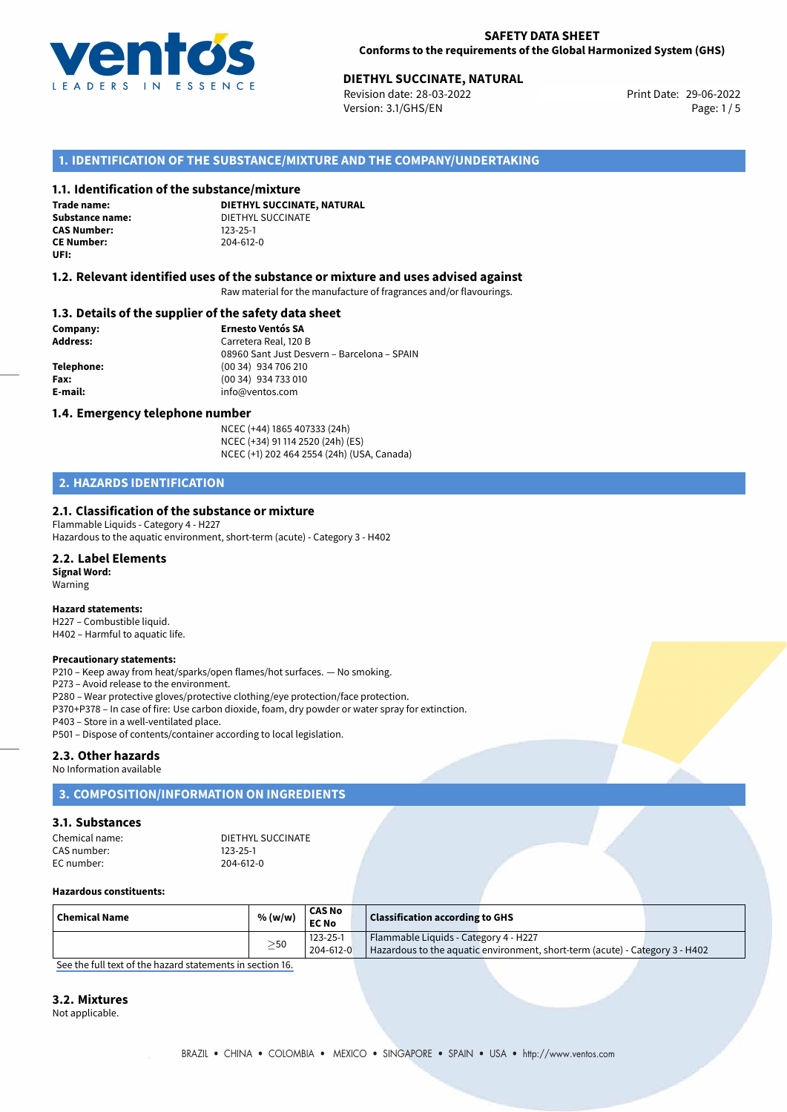

# **DIETHYL SUCCINATE, NATURAL**<br>
Revision date: 28-03-2022<br>
Print Date: 29-06-2022

Revision date: 28-03-2022 Version: 3.1/GHS/EN Page: 1 / 5

# **1. IDENTIFICATION OF THE SUBSTANCE/MIXTURE AND THE COMPANY/UNDERTAKING**

## **1.1. Identification of the substance/mixture**

**Trade name: CAS Number: CE Number:** 204-612-0 **UFI:**

**DIETHYL SUCCINATE, NATURAL Substance name:** DIETHYL SUCCINATE<br> **CAS Number:** 123-25-1

## **1.2. Relevant identified uses of the substance or mixture and uses advised against**

Raw material for the manufacture of fragrances and/or flavourings.

## **1.3. Details of the supplier of the safety data sheet**

**Company: Ernesto Ventós SA Address:** Carretera Real, 120 B 08960 Sant Just Desvern – Barcelona – SPAIN **Telephone:** (00 34) 934 706 210 **Fax:** (00 34) 934 733 010 **E-mail:** info@ventos.com

## **1.4. Emergency telephone number**

NCEC (+44) 1865 407333 (24h) NCEC (+34) 91 114 2520 (24h) (ES) NCEC (+1) 202 464 2554 (24h) (USA, Canada)

# **2. HAZARDS IDENTIFICATION**

# **2.1. Classification of the substance or mixture**

Flammable Liquids - Category 4 - H227 Hazardous to the aquatic environment, short-term (acute) - Category 3 - H402

### **2.2. Label Elements**

**Signal Word:** Warning

#### **Hazard statements:**

H227 – Combustible liquid. H402 – Harmful to aquatic life.

#### **Precautionary statements:**

P210 – Keep away from heat/sparks/open flames/hot surfaces. — No smoking.

P273 – Avoid release to the environment.

P280 – Wear protective gloves/protective clothing/eye protection/face protection.

P370+P378 – In case of fire: Use carbon dioxide, foam, dry powder or water spray for extinction.

P403 – Store in a well-ventilated place.

P501 – Dispose of contents/container according to local legislation.

### **2.3. Other hazards**

No Information available

# **3. COMPOSITION/INFORMATION ON INGREDIENTS**

### **3.1. Substances**

| Chemical name: | DIETHYL SUCCINATE |
|----------------|-------------------|
| CAS number:    | $123 - 25 - 1$    |
| EC number:     | 204-612-0         |

#### **Hazardous constituents:**

| $\mid$ Chemical Name | % (w/w)   | <b>CAS No</b><br><b>EC No</b> | <b>Classification according to GHS</b>                                                                                |  |
|----------------------|-----------|-------------------------------|-----------------------------------------------------------------------------------------------------------------------|--|
|                      | $\geq$ 50 | 123-25-1<br>204-612-0         | Flammable Liquids - Category 4 - H227<br>Hazardous to the aquatic environment, short-term (acute) - Category 3 - H402 |  |

[See the full text of the hazard statements in section 16.](#page--1-0)

## **3.2. Mixtures**

Not applicable.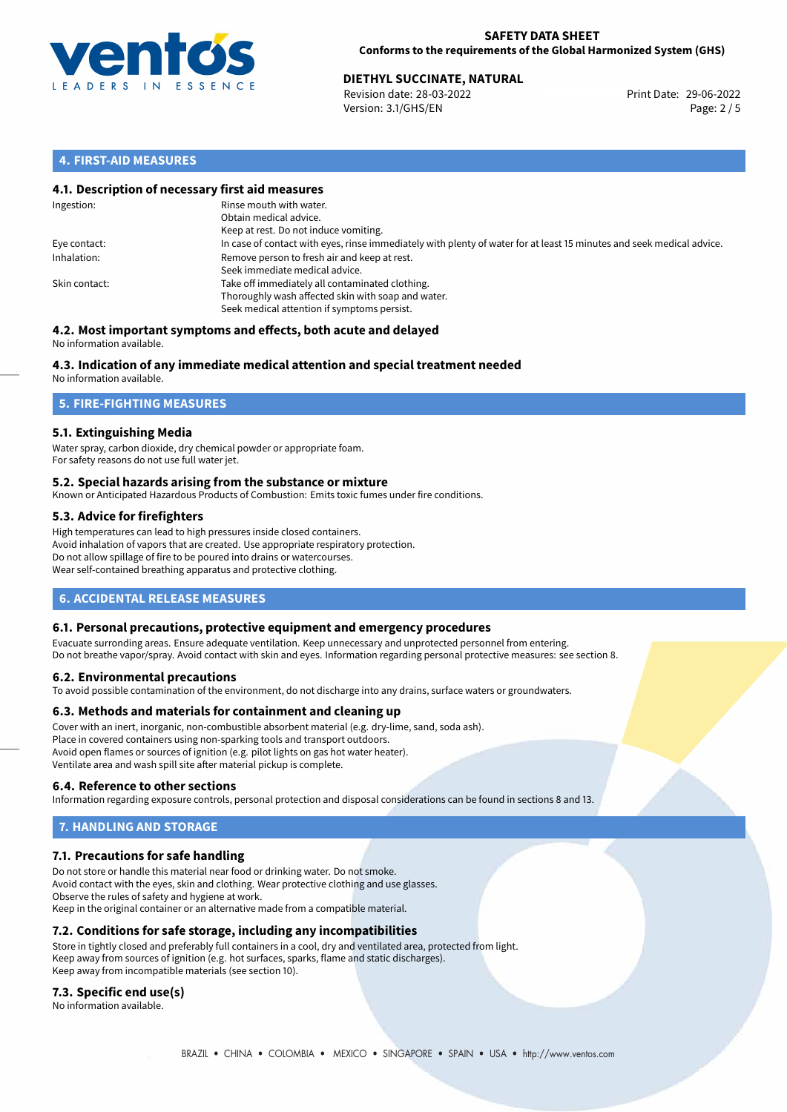

## **SAFETY DATA SHEET Conforms to the requirements of the Global Harmonized System (GHS)**

# **DIETHYL SUCCINATE, NATURAL**<br> **29-06-2022** Print Date: 29-06-2022<br>
Print Date: 29-06-2022

Revision date: 28-03-2022 Version: 3.1/GHS/EN Page: 2 / 5

# **4. FIRST-AID MEASURES**

# **4.1. Description of necessary first aid measures**

| Ingestion:    | Rinse mouth with water.<br>Obtain medical advice.<br>Keep at rest. Do not induce vomiting.                                                           |
|---------------|------------------------------------------------------------------------------------------------------------------------------------------------------|
| Eye contact:  | In case of contact with eyes, rinse immediately with plenty of water for at least 15 minutes and seek medical advice.                                |
| Inhalation:   | Remove person to fresh air and keep at rest.<br>Seek immediate medical advice.                                                                       |
| Skin contact: | Take off immediately all contaminated clothing.<br>Thoroughly wash affected skin with soap and water.<br>Seek medical attention if symptoms persist. |

#### **4.2. Most important symptoms and effects, both acute and delayed** No information available.

# **4.3. Indication of any immediate medical attention and special treatment needed**

No information available.

# **5. FIRE-FIGHTING MEASURES**

# **5.1. Extinguishing Media**

Water spray, carbon dioxide, dry chemical powder or appropriate foam. For safety reasons do not use full water jet.

# **5.2. Special hazards arising from the substance or mixture**

Known or Anticipated Hazardous Products of Combustion: Emits toxic fumes under fire conditions.

# **5.3. Advice for firefighters**

High temperatures can lead to high pressures inside closed containers. Avoid inhalation of vapors that are created. Use appropriate respiratory protection. Do not allow spillage of fire to be poured into drains or watercourses. Wear self-contained breathing apparatus and protective clothing.

# **6. ACCIDENTAL RELEASE MEASURES**

# **6.1. Personal precautions, protective equipment and emergency procedures**

Evacuate surronding areas. Ensure adequate ventilation. Keep unnecessary and unprotected personnel from entering. Do not breathe vapor/spray. Avoid contact with skin and eyes. Information regarding personal protective measures: see section 8.

# **6.2. Environmental precautions**

To avoid possible contamination of the environment, do not discharge into any drains, surface waters or groundwaters.

# **6.3. Methods and materials for containment and cleaning up**

Cover with an inert, inorganic, non-combustible absorbent material (e.g. dry-lime, sand, soda ash). Place in covered containers using non-sparking tools and transport outdoors. Avoid open flames or sources of ignition (e.g. pilot lights on gas hot water heater). Ventilate area and wash spill site after material pickup is complete.

# **6.4. Reference to other sections**

Information regarding exposure controls, personal protection and disposal considerations can be found in sections 8 and 13.

# **7. HANDLING AND STORAGE**

# **7.1. Precautions for safe handling**

Do not store or handle this material near food or drinking water. Do not smoke. Avoid contact with the eyes, skin and clothing. Wear protective clothing and use glasses. Observe the rules of safety and hygiene at work. Keep in the original container or an alternative made from a compatible material.

# **7.2. Conditions for safe storage, including any incompatibilities**

Store in tightly closed and preferably full containers in a cool, dry and ventilated area, protected from light. Keep away from sources of ignition (e.g. hot surfaces, sparks, flame and static discharges). Keep away from incompatible materials (see section 10).

# **7.3. Specific end use(s)**

No information available.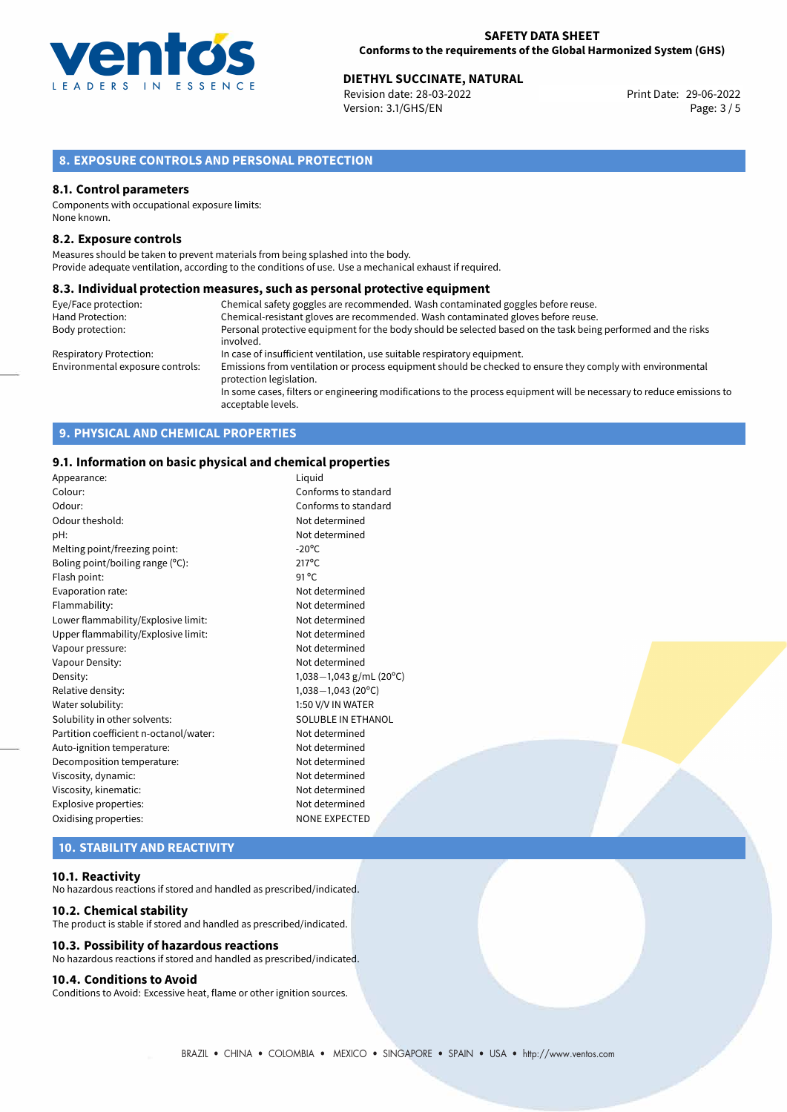

# **DIETHYL SUCCINATE, NATURAL**<br>
Revision date: 28-03-2022<br>
Print Date: 29-06-2022

Revision date: 28-03-2022 Version: 3.1/GHS/EN Page: 3 / 5

# **8. EXPOSURE CONTROLS AND PERSONAL PROTECTION**

## **8.1. Control parameters**

Components with occupational exposure limits: None known.

## **8.2. Exposure controls**

Measures should be taken to prevent materials from being splashed into the body. Provide adequate ventilation, according to the conditions of use. Use a mechanical exhaust if required.

### **8.3. Individual protection measures, such as personal protective equipment**

| Eye/Face protection:             | Chemical safety goggles are recommended. Wash contaminated goggles before reuse.                                                            |
|----------------------------------|---------------------------------------------------------------------------------------------------------------------------------------------|
| Hand Protection:                 | Chemical-resistant gloves are recommended. Wash contaminated gloves before reuse.                                                           |
| Body protection:                 | Personal protective equipment for the body should be selected based on the task being performed and the risks<br>involved.                  |
| <b>Respiratory Protection:</b>   | In case of insufficient ventilation, use suitable respiratory equipment.                                                                    |
| Environmental exposure controls: | Emissions from ventilation or process equipment should be checked to ensure they comply with environmental<br>protection legislation.       |
|                                  | In some cases, filters or engineering modifications to the process equipment will be necessary to reduce emissions to<br>acceptable levels. |

# **9. PHYSICAL AND CHEMICAL PROPERTIES**

# **9.1. Information on basic physical and chemical properties**

| Appearance:                            | Liguid                     |
|----------------------------------------|----------------------------|
| Colour:                                | Conforms to standard       |
| Odour:                                 | Conforms to standard       |
| Odour theshold:                        | Not determined             |
| pH:                                    | Not determined             |
| Melting point/freezing point:          | $-20^{\circ}$ C            |
| Boling point/boiling range (°C):       | $217^{\circ}$ C            |
| Flash point:                           | $91^{\circ}$ C             |
| Evaporation rate:                      | Not determined             |
| Flammability:                          | Not determined             |
| Lower flammability/Explosive limit:    | Not determined             |
| Upper flammability/Explosive limit:    | Not determined             |
| Vapour pressure:                       | Not determined             |
| Vapour Density:                        | Not determined             |
| Density:                               | 1,038-1,043 g/mL (20°C)    |
| Relative density:                      | $1,038-1,043(20^{\circ}C)$ |
| Water solubility:                      | 1:50 V/V IN WATER          |
| Solubility in other solvents:          | SOLUBLE IN ETHANOL         |
| Partition coefficient n-octanol/water: | Not determined             |
| Auto-ignition temperature:             | Not determined             |
| Decomposition temperature:             | Not determined             |
| Viscosity, dynamic:                    | Not determined             |
| Viscosity, kinematic:                  | Not determined             |
| Explosive properties:                  | Not determined             |
| Oxidising properties:                  | <b>NONE EXPECTED</b>       |
|                                        |                            |

# **10. STABILITY AND REACTIVITY**

## **10.1. Reactivity**

No hazardous reactions if stored and handled as prescribed/indicated.

#### **10.2. Chemical stability**

The product is stable if stored and handled as prescribed/indicated.

# **10.3. Possibility of hazardous reactions**

No hazardous reactions if stored and handled as prescribed/indicated.

# **10.4. Conditions to Avoid**

Conditions to Avoid: Excessive heat, flame or other ignition sources.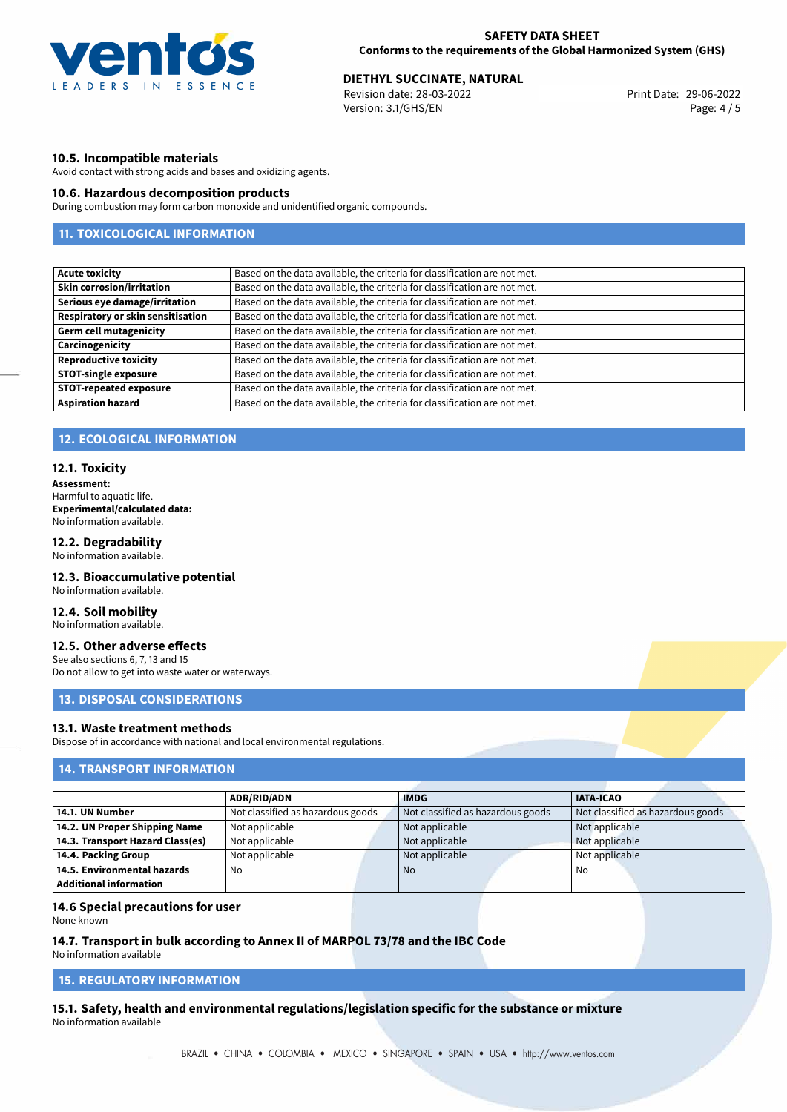

# **DIETHYL SUCCINATE, NATURAL**<br>
Revision date: 28-03-2022<br>
Print Date: 29-06-2022

Revision date: 28-03-2022 Version: 3.1/GHS/EN Page: 4 / 5

# **10.5. Incompatible materials**

Avoid contact with strong acids and bases and oxidizing agents.

# **10.6. Hazardous decomposition products**

During combustion may form carbon monoxide and unidentified organic compounds.

# **11. TOXICOLOGICAL INFORMATION**

# **12. ECOLOGICAL INFORMATION**

## **12.1. Toxicity**

**Assessment:** Harmful to aquatic life. **Experimental/calculated data:** No information available.

# **12.2. Degradability**

No information available.

## **12.3. Bioaccumulative potential**

No information available.

## **12.4. Soil mobility**

No information available.

# **12.5. Other adverse effects**

See also sections 6, 7, 13 and 15 Do not allow to get into waste water or waterways.

# **13. DISPOSAL CONSIDERATIONS**

# **13.1. Waste treatment methods**

Dispose of in accordance with national and local environmental regulations.

# **14. TRANSPORT INFORMATION**

|                                  | <b>ADR/RID/ADN</b>                | <b>IMDG</b>                       | <b>IATA-ICAO</b>                  |
|----------------------------------|-----------------------------------|-----------------------------------|-----------------------------------|
| 14.1. UN Number                  | Not classified as hazardous goods | Not classified as hazardous goods | Not classified as hazardous goods |
| 14.2. UN Proper Shipping Name    | Not applicable                    | Not applicable                    | Not applicable                    |
| 14.3. Transport Hazard Class(es) | Not applicable                    | Not applicable                    | Not applicable                    |
| 14.4. Packing Group              | Not applicable                    | Not applicable                    | Not applicable                    |
| 14.5. Environmental hazards      | No                                | <b>No</b>                         | No                                |
| Additional information           |                                   |                                   |                                   |

### **14.6 Special precautions for user**

None known

### **14.7. Transport in bulk according to Annex II of MARPOL 73/78 and the IBC Code**

No information available

# **15. REGULATORY INFORMATION**

**15.1. Safety, health and environmental regulations/legislation specific for the substance or mixture** No information available